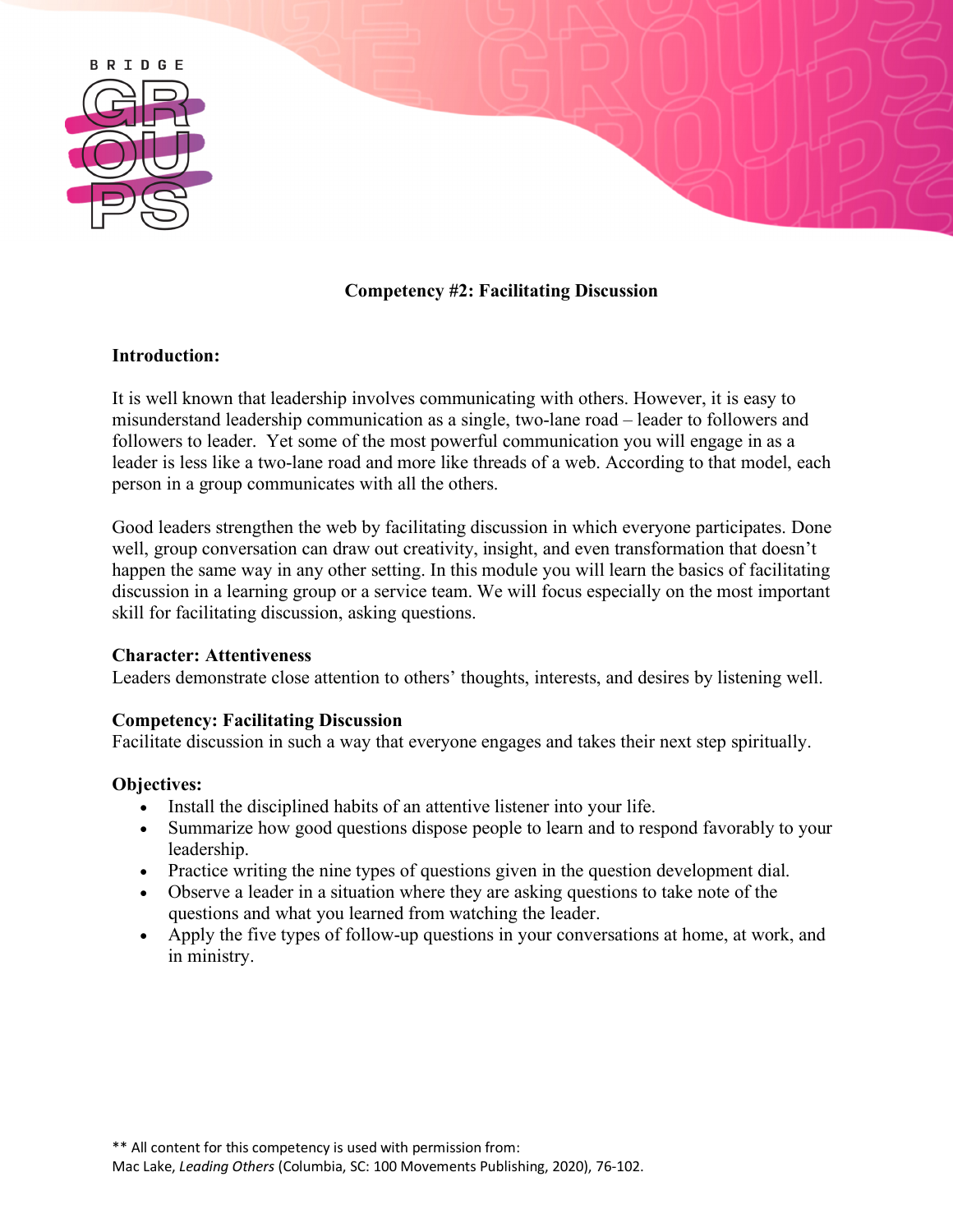

# **Competency #2: Facilitating Discussion**

### **Introduction:**

It is well known that leadership involves communicating with others. However, it is easy to misunderstand leadership communication as a single, two-lane road – leader to followers and followers to leader. Yet some of the most powerful communication you will engage in as a leader is less like a two-lane road and more like threads of a web. According to that model, each person in a group communicates with all the others.

Good leaders strengthen the web by facilitating discussion in which everyone participates. Done well, group conversation can draw out creativity, insight, and even transformation that doesn't happen the same way in any other setting. In this module you will learn the basics of facilitating discussion in a learning group or a service team. We will focus especially on the most important skill for facilitating discussion, asking questions.

### **Character: Attentiveness**

Leaders demonstrate close attention to others' thoughts, interests, and desires by listening well.

### **Competency: Facilitating Discussion**

Facilitate discussion in such a way that everyone engages and takes their next step spiritually.

### **Objectives:**

- Install the disciplined habits of an attentive listener into your life.
- Summarize how good questions dispose people to learn and to respond favorably to your leadership.
- Practice writing the nine types of questions given in the question development dial.
- Observe a leader in a situation where they are asking questions to take note of the questions and what you learned from watching the leader.
- Apply the five types of follow-up questions in your conversations at home, at work, and in ministry.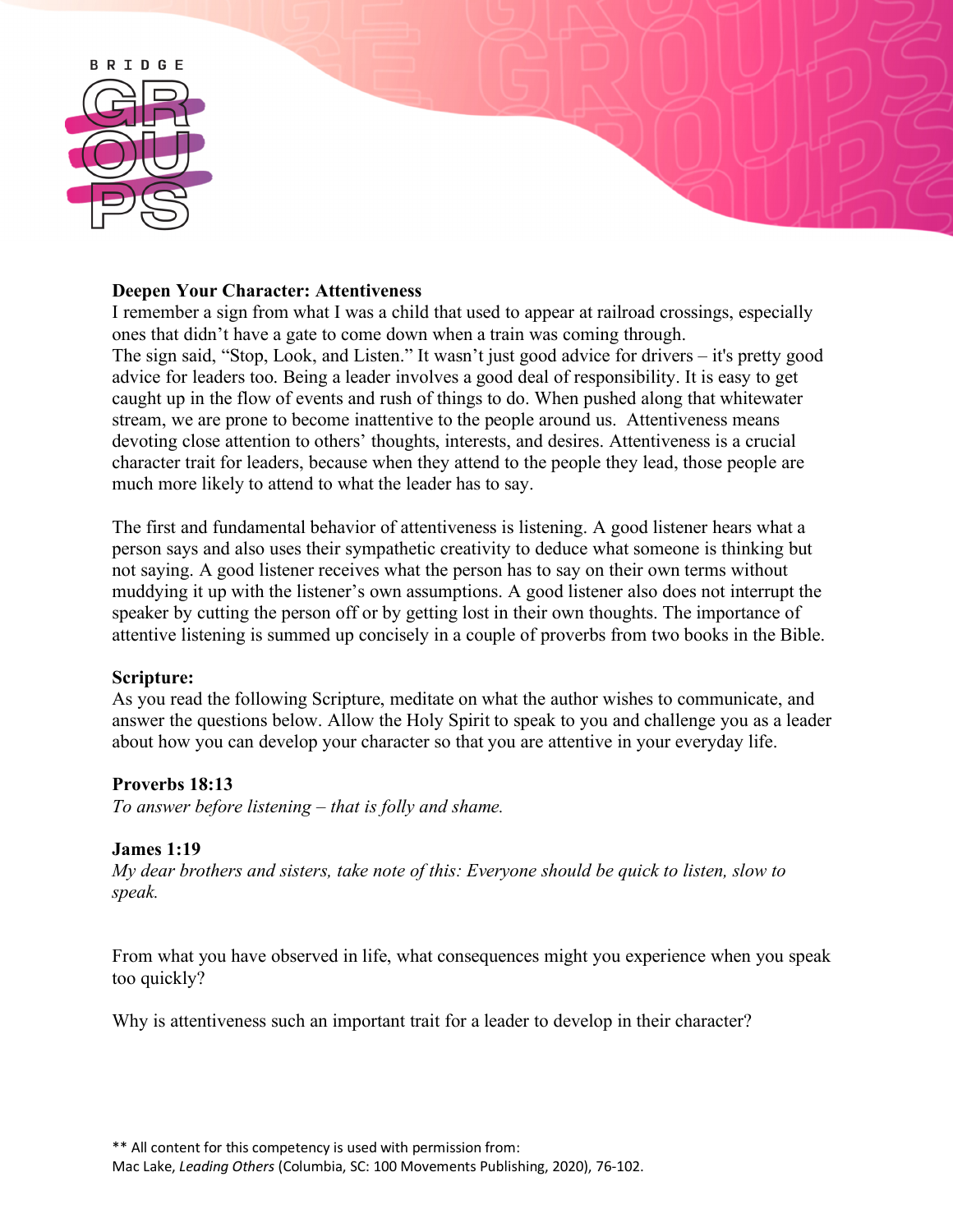

### **Deepen Your Character: Attentiveness**

I remember a sign from what I was a child that used to appear at railroad crossings, especially ones that didn't have a gate to come down when a train was coming through. The sign said, "Stop, Look, and Listen." It wasn't just good advice for drivers – it's pretty good advice for leaders too. Being a leader involves a good deal of responsibility. It is easy to get caught up in the flow of events and rush of things to do. When pushed along that whitewater stream, we are prone to become inattentive to the people around us. Attentiveness means devoting close attention to others' thoughts, interests, and desires. Attentiveness is a crucial character trait for leaders, because when they attend to the people they lead, those people are much more likely to attend to what the leader has to say.

The first and fundamental behavior of attentiveness is listening. A good listener hears what a person says and also uses their sympathetic creativity to deduce what someone is thinking but not saying. A good listener receives what the person has to say on their own terms without muddying it up with the listener's own assumptions. A good listener also does not interrupt the speaker by cutting the person off or by getting lost in their own thoughts. The importance of attentive listening is summed up concisely in a couple of proverbs from two books in the Bible.

# **Scripture:**

As you read the following Scripture, meditate on what the author wishes to communicate, and answer the questions below. Allow the Holy Spirit to speak to you and challenge you as a leader about how you can develop your character so that you are attentive in your everyday life.

# **Proverbs 18:13**

*To answer before listening – that is folly and shame.*

### **James 1:19**

*My dear brothers and sisters, take note of this: Everyone should be quick to listen, slow to speak.*

From what you have observed in life, what consequences might you experience when you speak too quickly?

Why is attentiveness such an important trait for a leader to develop in their character?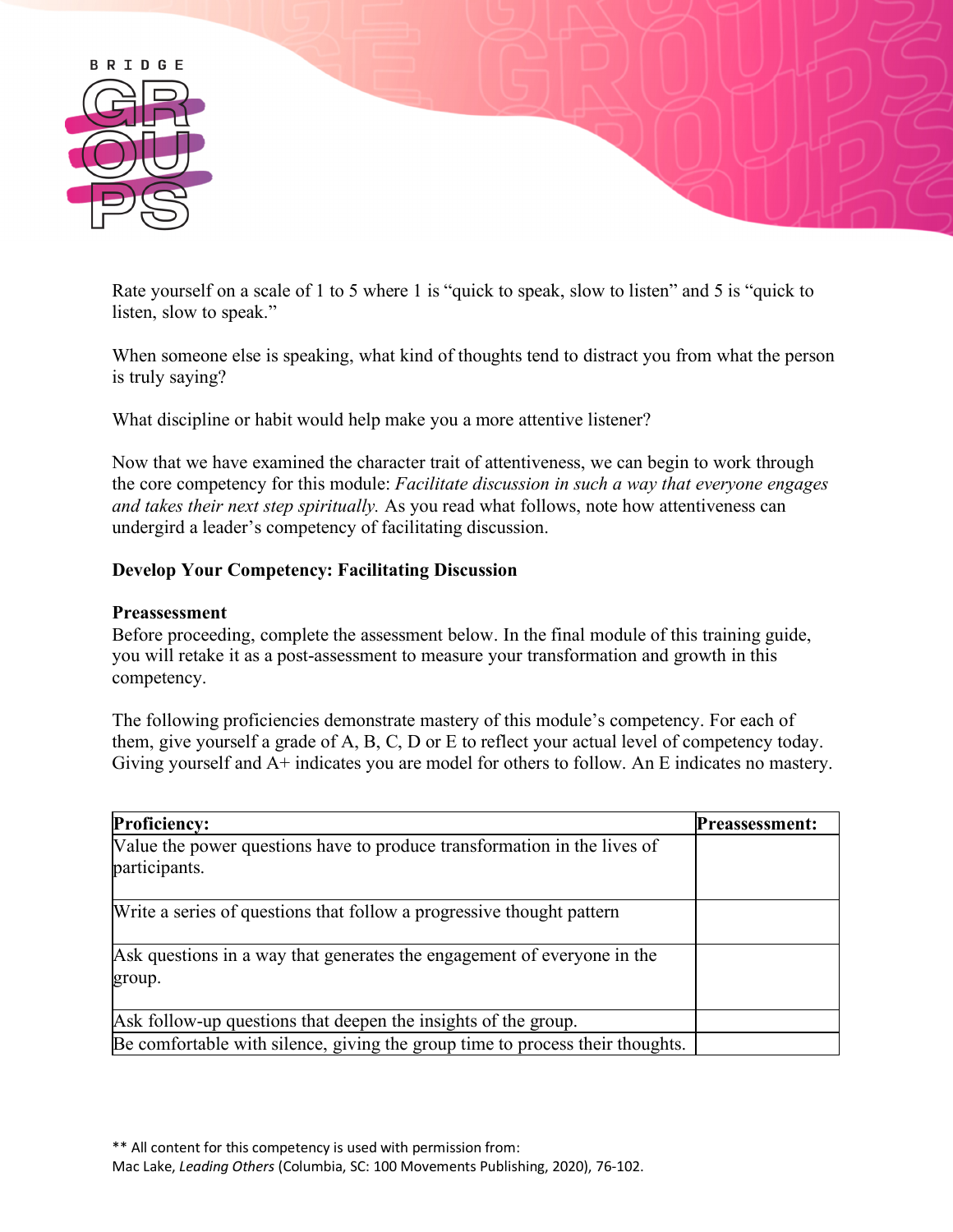

Rate yourself on a scale of 1 to 5 where 1 is "quick to speak, slow to listen" and 5 is "quick to listen, slow to speak."

When someone else is speaking, what kind of thoughts tend to distract you from what the person is truly saying?

What discipline or habit would help make you a more attentive listener?

Now that we have examined the character trait of attentiveness, we can begin to work through the core competency for this module: *Facilitate discussion in such a way that everyone engages and takes their next step spiritually.* As you read what follows, note how attentiveness can undergird a leader's competency of facilitating discussion.

# **Develop Your Competency: Facilitating Discussion**

#### **Preassessment**

Before proceeding, complete the assessment below. In the final module of this training guide, you will retake it as a post-assessment to measure your transformation and growth in this competency.

The following proficiencies demonstrate mastery of this module's competency. For each of them, give yourself a grade of A, B, C, D or E to reflect your actual level of competency today. Giving yourself and A+ indicates you are model for others to follow. An E indicates no mastery.

| <b>Proficiency:</b>                                                                       | <b>Preassessment:</b> |
|-------------------------------------------------------------------------------------------|-----------------------|
| Value the power questions have to produce transformation in the lives of<br>participants. |                       |
| Write a series of questions that follow a progressive thought pattern                     |                       |
| Ask questions in a way that generates the engagement of everyone in the<br>group.         |                       |
| Ask follow-up questions that deepen the insights of the group.                            |                       |
| Be comfortable with silence, giving the group time to process their thoughts.             |                       |

\*\* All content for this competency is used with permission from:

Mac Lake, *Leading Others* (Columbia, SC: 100 Movements Publishing, 2020), 76-102.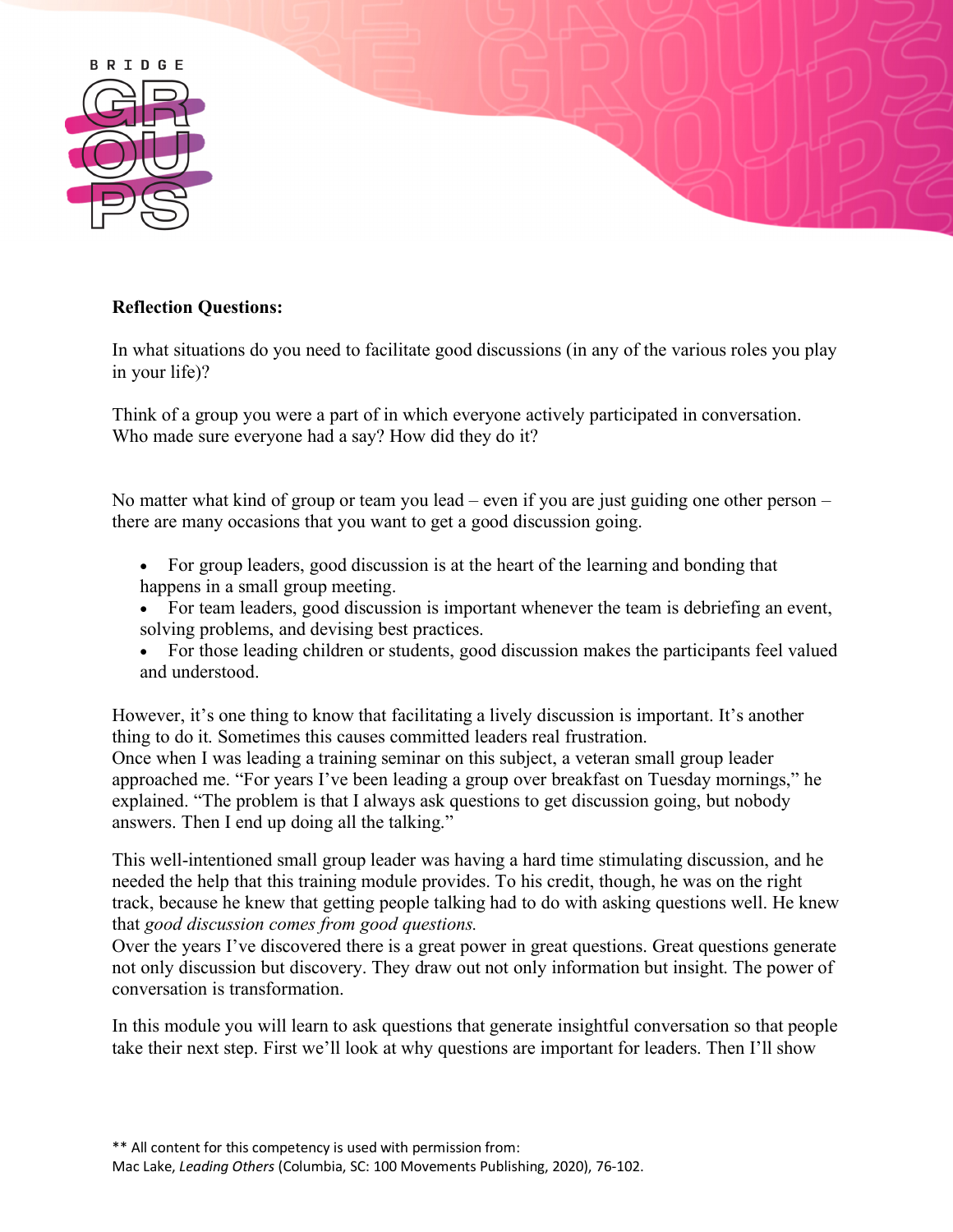

### **Reflection Questions:**

In what situations do you need to facilitate good discussions (in any of the various roles you play in your life)?

Think of a group you were a part of in which everyone actively participated in conversation. Who made sure everyone had a say? How did they do it?

No matter what kind of group or team you lead – even if you are just guiding one other person – there are many occasions that you want to get a good discussion going.

- For group leaders, good discussion is at the heart of the learning and bonding that happens in a small group meeting.
- For team leaders, good discussion is important whenever the team is debriefing an event, solving problems, and devising best practices.
- For those leading children or students, good discussion makes the participants feel valued and understood.

However, it's one thing to know that facilitating a lively discussion is important. It's another thing to do it. Sometimes this causes committed leaders real frustration. Once when I was leading a training seminar on this subject, a veteran small group leader approached me. "For years I've been leading a group over breakfast on Tuesday mornings," he explained. "The problem is that I always ask questions to get discussion going, but nobody answers. Then I end up doing all the talking."

This well-intentioned small group leader was having a hard time stimulating discussion, and he needed the help that this training module provides. To his credit, though, he was on the right track, because he knew that getting people talking had to do with asking questions well. He knew that *good discussion comes from good questions.*

Over the years I've discovered there is a great power in great questions. Great questions generate not only discussion but discovery. They draw out not only information but insight. The power of conversation is transformation.

In this module you will learn to ask questions that generate insightful conversation so that people take their next step. First we'll look at why questions are important for leaders. Then I'll show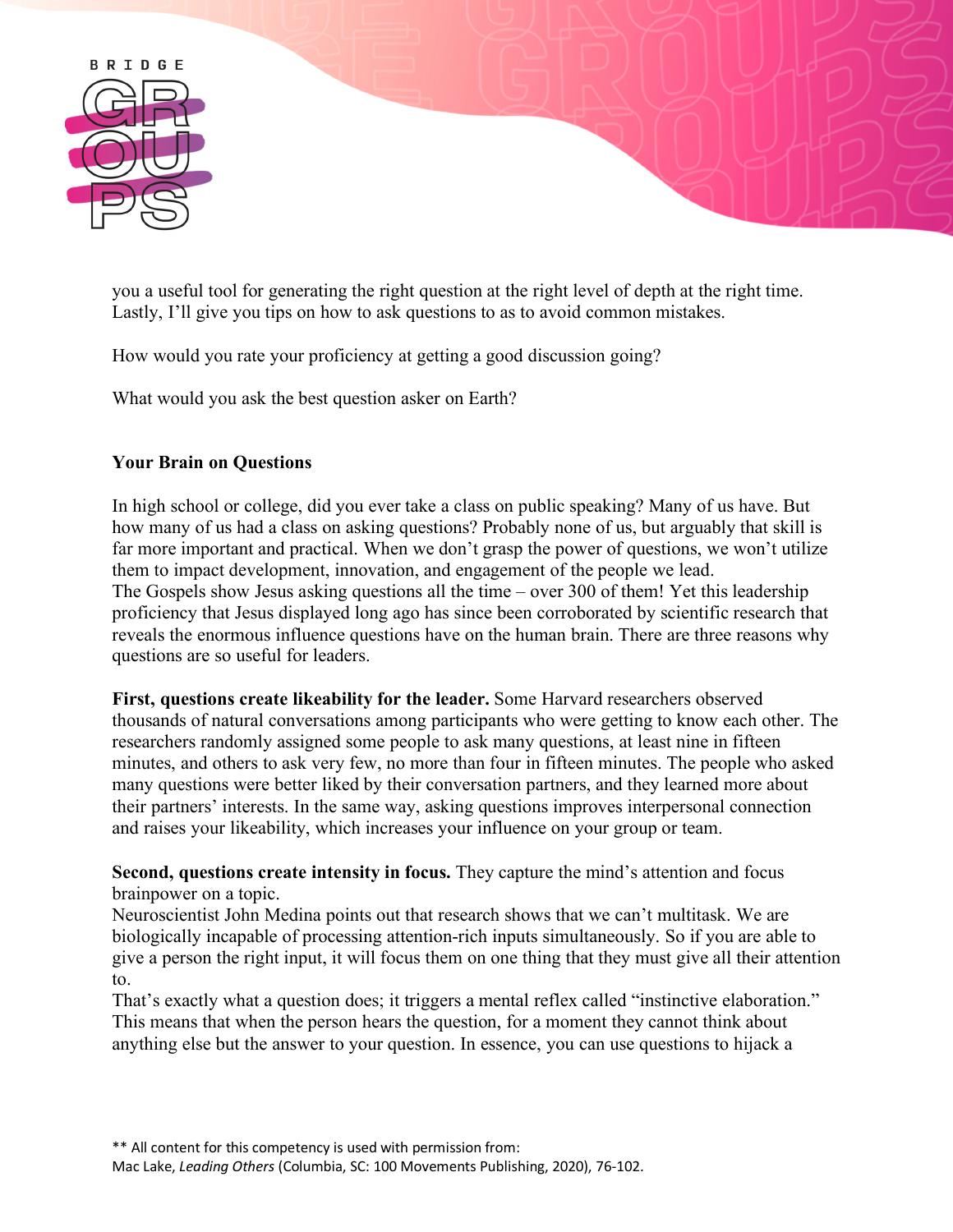

you a useful tool for generating the right question at the right level of depth at the right time. Lastly, I'll give you tips on how to ask questions to as to avoid common mistakes.

How would you rate your proficiency at getting a good discussion going?

What would you ask the best question asker on Earth?

### **Your Brain on Questions**

In high school or college, did you ever take a class on public speaking? Many of us have. But how many of us had a class on asking questions? Probably none of us, but arguably that skill is far more important and practical. When we don't grasp the power of questions, we won't utilize them to impact development, innovation, and engagement of the people we lead. The Gospels show Jesus asking questions all the time – over 300 of them! Yet this leadership proficiency that Jesus displayed long ago has since been corroborated by scientific research that reveals the enormous influence questions have on the human brain. There are three reasons why questions are so useful for leaders.

**First, questions create likeability for the leader.** Some Harvard researchers observed thousands of natural conversations among participants who were getting to know each other. The researchers randomly assigned some people to ask many questions, at least nine in fifteen minutes, and others to ask very few, no more than four in fifteen minutes. The people who asked many questions were better liked by their conversation partners, and they learned more about their partners' interests. In the same way, asking questions improves interpersonal connection and raises your likeability, which increases your influence on your group or team.

**Second, questions create intensity in focus.** They capture the mind's attention and focus brainpower on a topic.

Neuroscientist John Medina points out that research shows that we can't multitask. We are biologically incapable of processing attention-rich inputs simultaneously. So if you are able to give a person the right input, it will focus them on one thing that they must give all their attention to.

That's exactly what a question does; it triggers a mental reflex called "instinctive elaboration." This means that when the person hears the question, for a moment they cannot think about anything else but the answer to your question. In essence, you can use questions to hijack a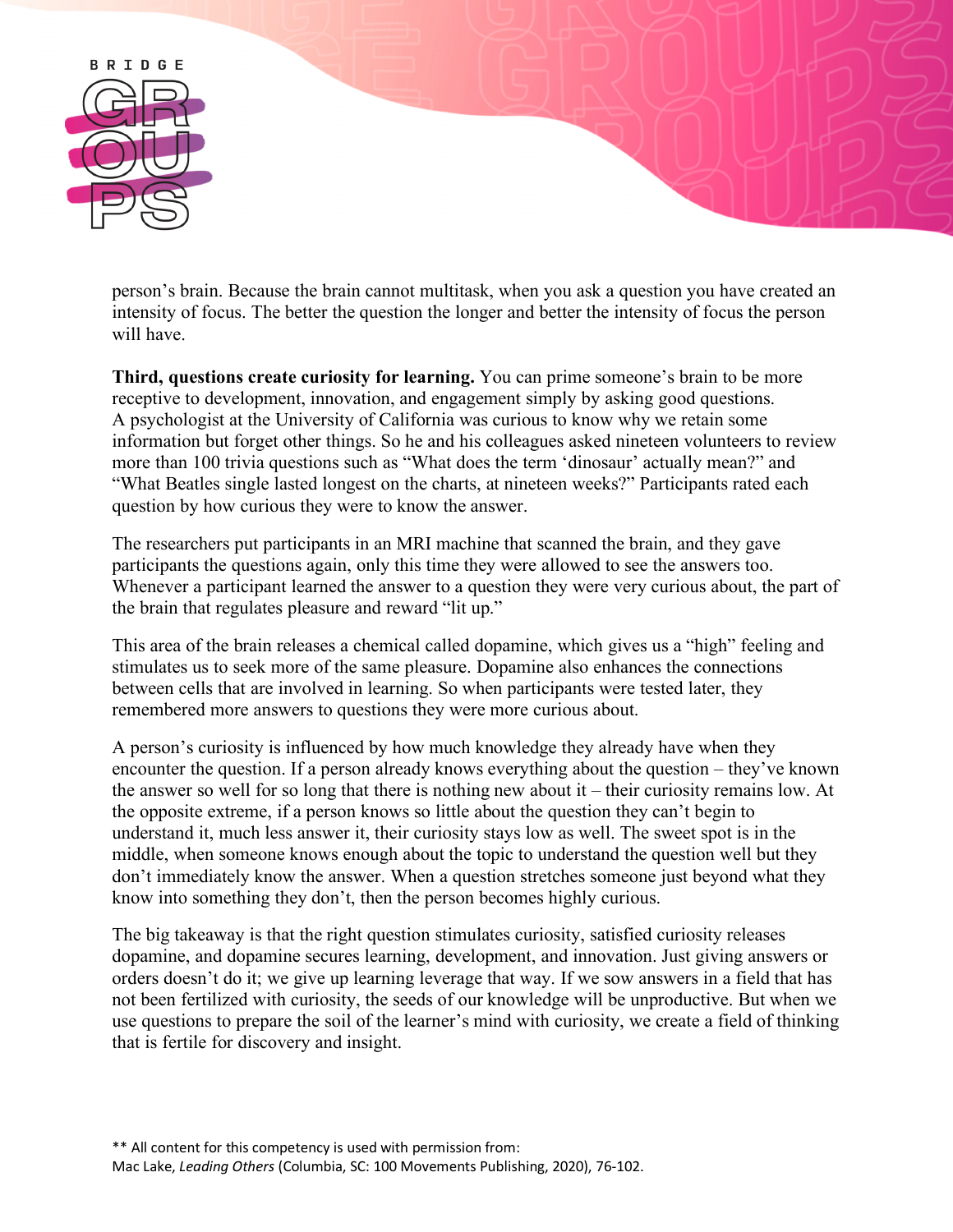

person's brain. Because the brain cannot multitask, when you ask a question you have created an intensity of focus. The better the question the longer and better the intensity of focus the person will have.

**Third, questions create curiosity for learning.** You can prime someone's brain to be more receptive to development, innovation, and engagement simply by asking good questions. A psychologist at the University of California was curious to know why we retain some information but forget other things. So he and his colleagues asked nineteen volunteers to review more than 100 trivia questions such as "What does the term 'dinosaur' actually mean?" and "What Beatles single lasted longest on the charts, at nineteen weeks?" Participants rated each question by how curious they were to know the answer.

The researchers put participants in an MRI machine that scanned the brain, and they gave participants the questions again, only this time they were allowed to see the answers too. Whenever a participant learned the answer to a question they were very curious about, the part of the brain that regulates pleasure and reward "lit up."

This area of the brain releases a chemical called dopamine, which gives us a "high" feeling and stimulates us to seek more of the same pleasure. Dopamine also enhances the connections between cells that are involved in learning. So when participants were tested later, they remembered more answers to questions they were more curious about.

A person's curiosity is influenced by how much knowledge they already have when they encounter the question. If a person already knows everything about the question – they've known the answer so well for so long that there is nothing new about it – their curiosity remains low. At the opposite extreme, if a person knows so little about the question they can't begin to understand it, much less answer it, their curiosity stays low as well. The sweet spot is in the middle, when someone knows enough about the topic to understand the question well but they don't immediately know the answer. When a question stretches someone just beyond what they know into something they don't, then the person becomes highly curious.

The big takeaway is that the right question stimulates curiosity, satisfied curiosity releases dopamine, and dopamine secures learning, development, and innovation. Just giving answers or orders doesn't do it; we give up learning leverage that way. If we sow answers in a field that has not been fertilized with curiosity, the seeds of our knowledge will be unproductive. But when we use questions to prepare the soil of the learner's mind with curiosity, we create a field of thinking that is fertile for discovery and insight.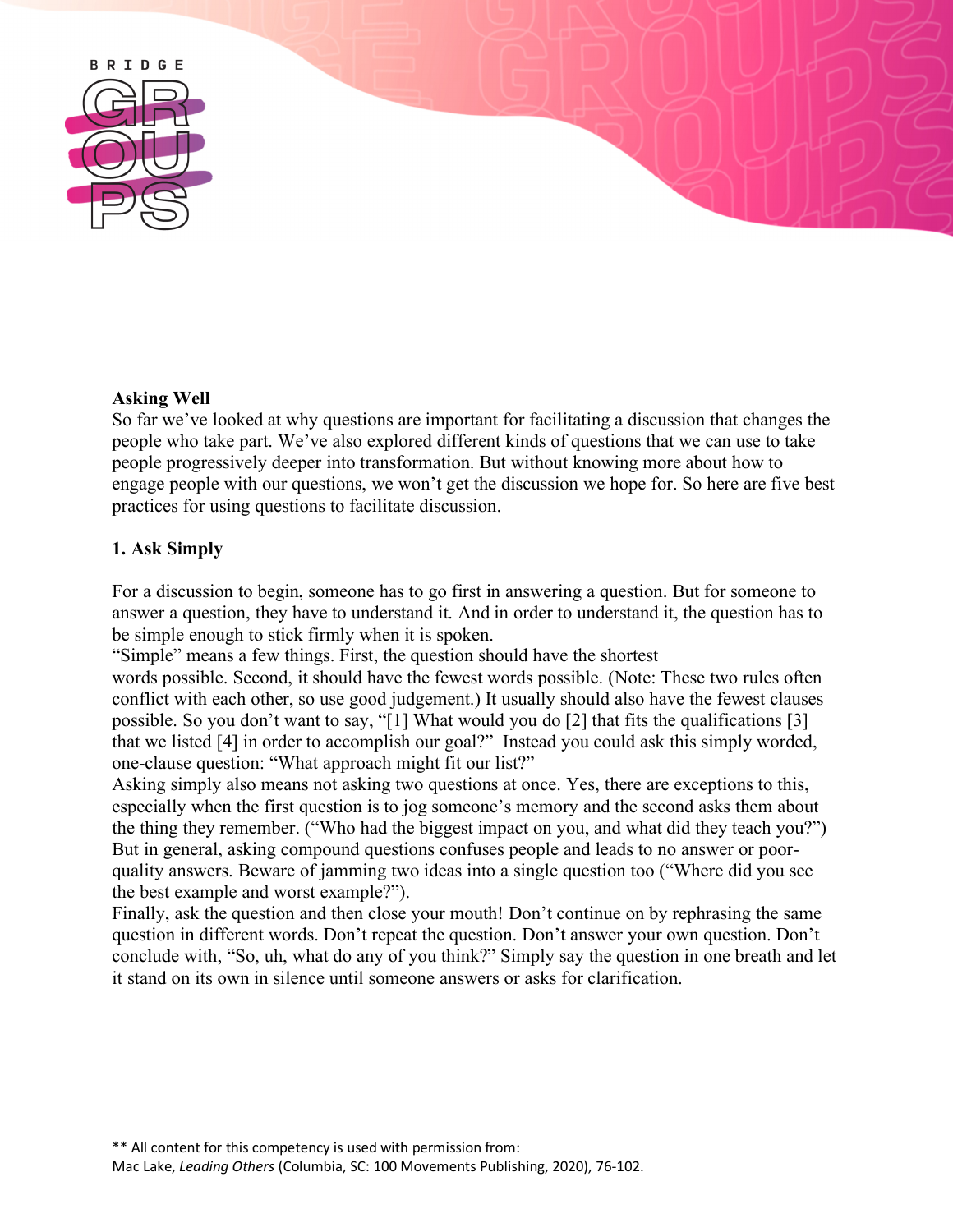

# **Asking Well**

So far we've looked at why questions are important for facilitating a discussion that changes the people who take part. We've also explored different kinds of questions that we can use to take people progressively deeper into transformation. But without knowing more about how to engage people with our questions, we won't get the discussion we hope for. So here are five best practices for using questions to facilitate discussion.

# **1. Ask Simply**

For a discussion to begin, someone has to go first in answering a question. But for someone to answer a question, they have to understand it. And in order to understand it, the question has to be simple enough to stick firmly when it is spoken.

"Simple" means a few things. First, the question should have the shortest

words possible. Second, it should have the fewest words possible. (Note: These two rules often conflict with each other, so use good judgement.) It usually should also have the fewest clauses possible. So you don't want to say, "[1] What would you do [2] that fits the qualifications [3] that we listed [4] in order to accomplish our goal?" Instead you could ask this simply worded, one-clause question: "What approach might fit our list?"

Asking simply also means not asking two questions at once. Yes, there are exceptions to this, especially when the first question is to jog someone's memory and the second asks them about the thing they remember. ("Who had the biggest impact on you, and what did they teach you?") But in general, asking compound questions confuses people and leads to no answer or poorquality answers. Beware of jamming two ideas into a single question too ("Where did you see the best example and worst example?").

Finally, ask the question and then close your mouth! Don't continue on by rephrasing the same question in different words. Don't repeat the question. Don't answer your own question. Don't conclude with, "So, uh, what do any of you think?" Simply say the question in one breath and let it stand on its own in silence until someone answers or asks for clarification.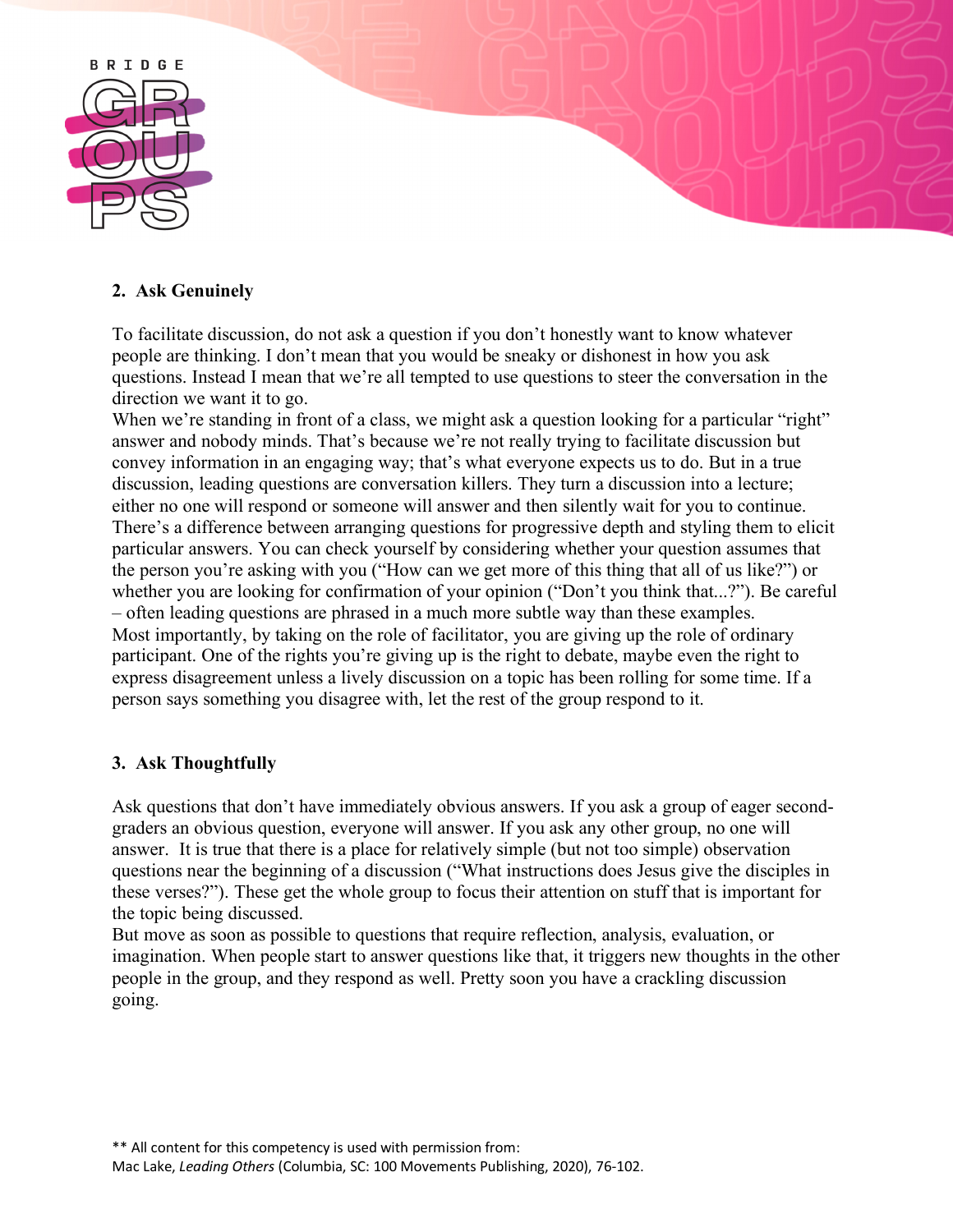

# **2. Ask Genuinely**

To facilitate discussion, do not ask a question if you don't honestly want to know whatever people are thinking. I don't mean that you would be sneaky or dishonest in how you ask questions. Instead I mean that we're all tempted to use questions to steer the conversation in the direction we want it to go.

When we're standing in front of a class, we might ask a question looking for a particular "right" answer and nobody minds. That's because we're not really trying to facilitate discussion but convey information in an engaging way; that's what everyone expects us to do. But in a true discussion, leading questions are conversation killers. They turn a discussion into a lecture; either no one will respond or someone will answer and then silently wait for you to continue. There's a difference between arranging questions for progressive depth and styling them to elicit particular answers. You can check yourself by considering whether your question assumes that the person you're asking with you ("How can we get more of this thing that all of us like?") or whether you are looking for confirmation of your opinion ("Don't you think that...?"). Be careful – often leading questions are phrased in a much more subtle way than these examples. Most importantly, by taking on the role of facilitator, you are giving up the role of ordinary participant. One of the rights you're giving up is the right to debate, maybe even the right to express disagreement unless a lively discussion on a topic has been rolling for some time. If a person says something you disagree with, let the rest of the group respond to it.

# **3. Ask Thoughtfully**

Ask questions that don't have immediately obvious answers. If you ask a group of eager secondgraders an obvious question, everyone will answer. If you ask any other group, no one will answer. It is true that there is a place for relatively simple (but not too simple) observation questions near the beginning of a discussion ("What instructions does Jesus give the disciples in these verses?"). These get the whole group to focus their attention on stuff that is important for the topic being discussed.

But move as soon as possible to questions that require reflection, analysis, evaluation, or imagination. When people start to answer questions like that, it triggers new thoughts in the other people in the group, and they respond as well. Pretty soon you have a crackling discussion going.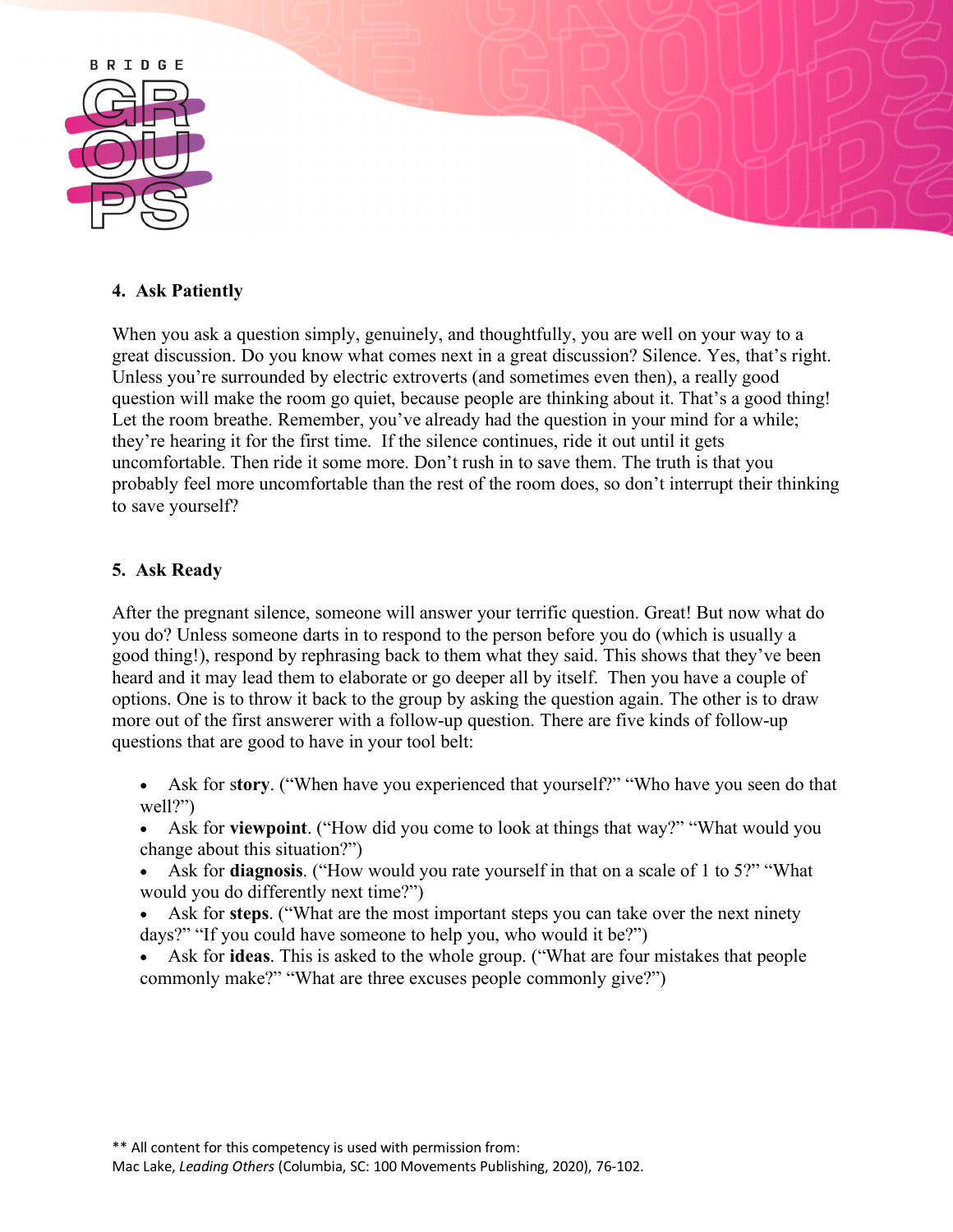

### **4. Ask Patiently**

When you ask a question simply, genuinely, and thoughtfully, you are well on your way to a great discussion. Do you know what comes next in a great discussion? Silence. Yes, that's right. Unless you're surrounded by electric extroverts (and sometimes even then), a really good question will make the room go quiet, because people are thinking about it. That's a good thing! Let the room breathe. Remember, you've already had the question in your mind for a while; they're hearing it for the first time. If the silence continues, ride it out until it gets uncomfortable. Then ride it some more. Don't rush in to save them. The truth is that you probably feel more uncomfortable than the rest of the room does, so don't interrupt their thinking to save yourself?

### **5. Ask Ready**

After the pregnant silence, someone will answer your terrific question. Great! But now what do you do? Unless someone darts in to respond to the person before you do (which is usually a good thing!), respond by rephrasing back to them what they said. This shows that they've been heard and it may lead them to elaborate or go deeper all by itself. Then you have a couple of options. One is to throw it back to the group by asking the question again. The other is to draw more out of the first answerer with a follow-up question. There are five kinds of follow-up questions that are good to have in your tool belt:

- Ask for s**tory**. ("When have you experienced that yourself?" "Who have you seen do that well?")
- Ask for **viewpoint**. ("How did you come to look at things that way?" "What would you change about this situation?")
- Ask for **diagnosis**. ("How would you rate yourself in that on a scale of 1 to 5?" "What would you do differently next time?")
- Ask for **steps**. ("What are the most important steps you can take over the next ninety days?" "If you could have someone to help you, who would it be?")
- Ask for **ideas**. This is asked to the whole group. ("What are four mistakes that people commonly make?" "What are three excuses people commonly give?")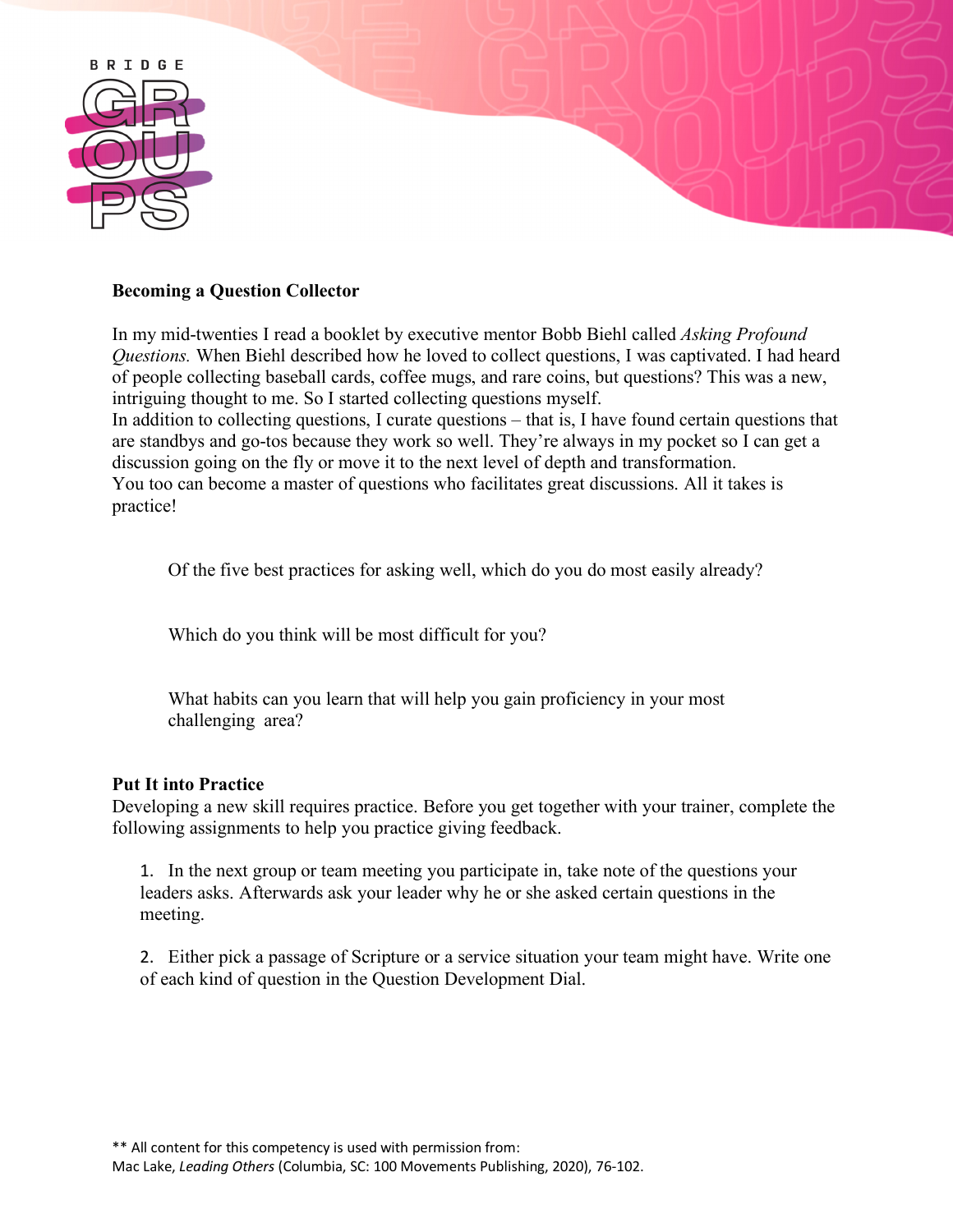

#### **Becoming a Question Collector**

In my mid-twenties I read a booklet by executive mentor Bobb Biehl called *Asking Profound Questions.* When Biehl described how he loved to collect questions, I was captivated. I had heard of people collecting baseball cards, coffee mugs, and rare coins, but questions? This was a new, intriguing thought to me. So I started collecting questions myself.

In addition to collecting questions, I curate questions – that is, I have found certain questions that are standbys and go-tos because they work so well. They're always in my pocket so I can get a discussion going on the fly or move it to the next level of depth and transformation. You too can become a master of questions who facilitates great discussions. All it takes is practice!

Of the five best practices for asking well, which do you do most easily already?

Which do you think will be most difficult for you?

What habits can you learn that will help you gain proficiency in your most challenging area?

### **Put It into Practice**

Developing a new skill requires practice. Before you get together with your trainer, complete the following assignments to help you practice giving feedback.

1. In the next group or team meeting you participate in, take note of the questions your leaders asks. Afterwards ask your leader why he or she asked certain questions in the meeting.

2. Either pick a passage of Scripture or a service situation your team might have. Write one of each kind of question in the Question Development Dial.